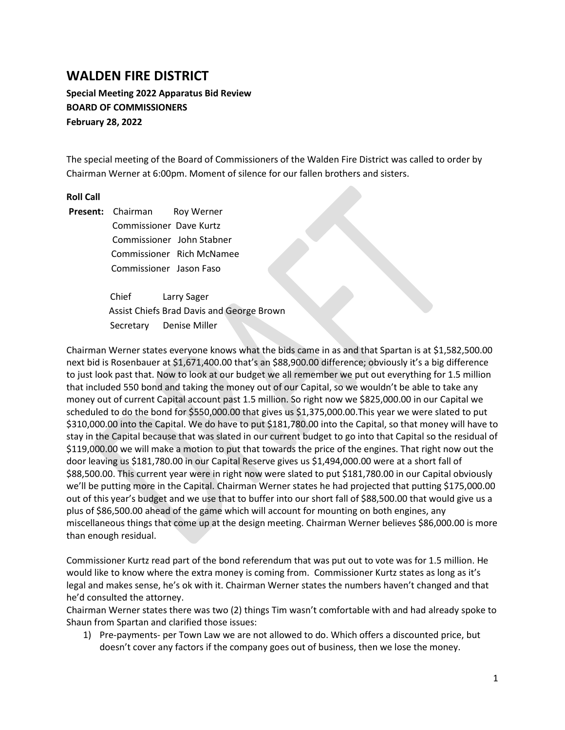## **WALDEN FIRE DISTRICT**

**Special Meeting 2022 Apparatus Bid Review BOARD OF COMMISSIONERS February 28, 2022**

The special meeting of the Board of Commissioners of the Walden Fire District was called to order by Chairman Werner at 6:00pm. Moment of silence for our fallen brothers and sisters.

## **Roll Call**

Present: Chairman Roy Werner Commissioner Dave Kurtz Commissioner John Stabner Commissioner Rich McNamee Commissioner Jason Faso

> Chief Larry Sager Assist Chiefs Brad Davis and George Brown Secretary Denise Miller

Chairman Werner states everyone knows what the bids came in as and that Spartan is at \$1,582,500.00 next bid is Rosenbauer at \$1,671,400.00 that's an \$88,900.00 difference; obviously it's a big difference to just look past that. Now to look at our budget we all remember we put out everything for 1.5 million that included 550 bond and taking the money out of our Capital, so we wouldn't be able to take any money out of current Capital account past 1.5 million. So right now we \$825,000.00 in our Capital we scheduled to do the bond for \$550,000.00 that gives us \$1,375,000.00.This year we were slated to put \$310,000.00 into the Capital. We do have to put \$181,780.00 into the Capital, so that money will have to stay in the Capital because that was slated in our current budget to go into that Capital so the residual of \$119,000.00 we will make a motion to put that towards the price of the engines. That right now out the door leaving us \$181,780.00 in our Capital Reserve gives us \$1,494,000.00 were at a short fall of \$88,500.00. This current year were in right now were slated to put \$181,780.00 in our Capital obviously we'll be putting more in the Capital. Chairman Werner states he had projected that putting \$175,000.00 out of this year's budget and we use that to buffer into our short fall of \$88,500.00 that would give us a plus of \$86,500.00 ahead of the game which will account for mounting on both engines, any miscellaneous things that come up at the design meeting. Chairman Werner believes \$86,000.00 is more than enough residual.

Commissioner Kurtz read part of the bond referendum that was put out to vote was for 1.5 million. He would like to know where the extra money is coming from. Commissioner Kurtz states as long as it's legal and makes sense, he's ok with it. Chairman Werner states the numbers haven't changed and that he'd consulted the attorney.

Chairman Werner states there was two (2) things Tim wasn't comfortable with and had already spoke to Shaun from Spartan and clarified those issues:

1) Pre-payments- per Town Law we are not allowed to do. Which offers a discounted price, but doesn't cover any factors if the company goes out of business, then we lose the money.